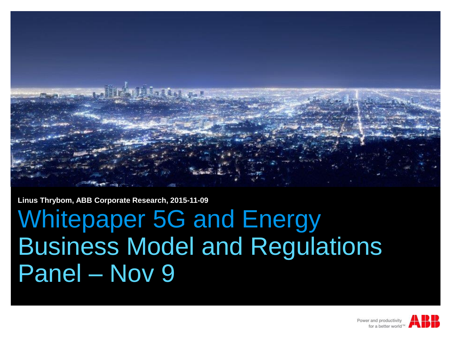

**Linus Thrybom, ABB Corporate Research, 2015-11-09**

## Whitepaper 5G and Energy Business Model and Regulations Panel – Nov 9

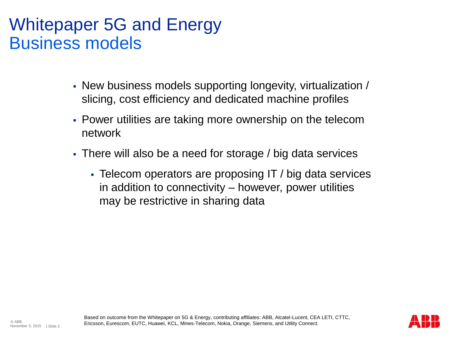## Whitepaper 5G and Energy Business models

- New business models supporting longevity, virtualization / slicing, cost efficiency and dedicated machine profiles
- Power utilities are taking more ownership on the telecom network
- There will also be a need for storage / big data services
	- Telecom operators are proposing IT / big data services in addition to connectivity – however, power utilities may be restrictive in sharing data

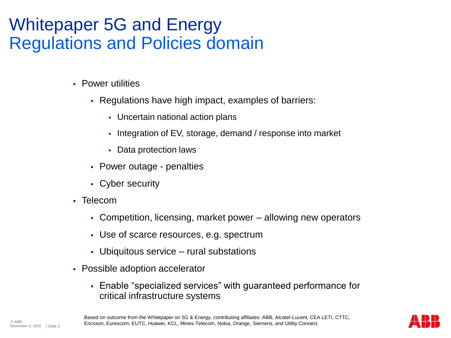## Whitepaper 5G and Energy Regulations and Policies domain

- **Power utilities** 
	- Regulations have high impact, examples of barriers:
		- Uncertain national action plans
		- Integration of EV, storage, demand / response into market
		- Data protection laws
	- Power outage penalties
	- Cyber security
- Telecom
	- Competition, licensing, market power allowing new operators
	- Use of scarce resources, e.g. spectrum
	- Ubiquitous service rural substations
- Possible adoption accelerator
	- Enable "specialized services" with guaranteed performance for critical infrastructure systems